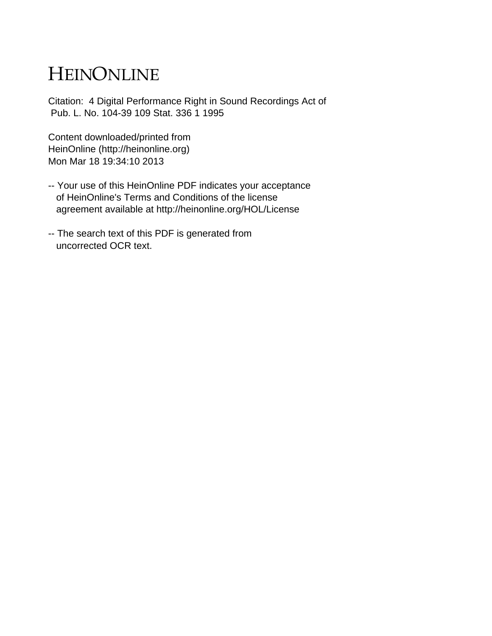# HEINONLINE

Citation: 4 Digital Performance Right in Sound Recordings Act of Pub. L. No. 104-39 109 Stat. 336 1 1995

Content downloaded/printed from HeinOnline (http://heinonline.org) Mon Mar 18 19:34:10 2013

- -- Your use of this HeinOnline PDF indicates your acceptance of HeinOnline's Terms and Conditions of the license agreement available at http://heinonline.org/HOL/License
- -- The search text of this PDF is generated from uncorrected OCR text.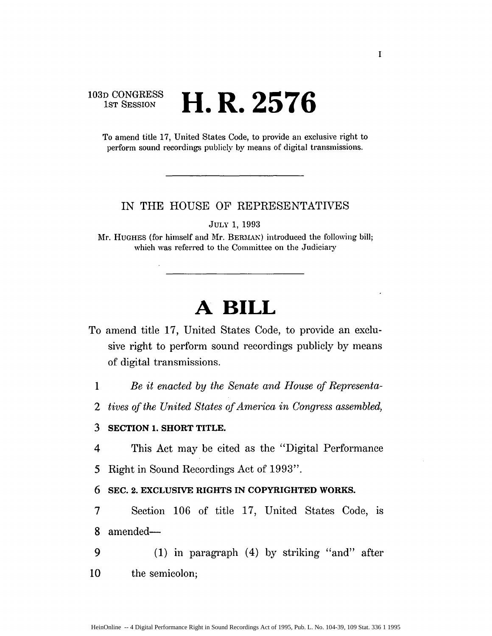### **103D CONGRESS** H. R. 2576

To amend title 17, United States Code, to provide an exclusive right to perform sound recordings publicly by means of digital transmissions.

### IN THE HOUSE OF REPRESENTATIVES

**JULY** 1, 1993

Mr. **HUGHES** (for himself and *Mr.* BERMAN) introduced the following bill; which was referred to the Committee on the Judiciary

## **A BILL**

- To amend title 17, United States Code, to provide an exclusive right to perform sound recordings publicly by means of digital transmissions.
	- 1 *Be it enacted by the Senate and House of Representa-*
	- *2 tives of the United States of America in Congress assembled,*

#### **3 SECTION 1. SHORT TITLE.**

4 This Act may be cited as the "Digital Performance

*5* Right in Sound Recordings Act of 1993".

### 6 **SEC. 2. EXCLUSIVE RIGHTS** IN **COPYRIGHTED WORKS.**

- 7 Section 106 of title 17, United States Code, is 8 amended-
- 9 (1) in paragraph (4) by striking "and" after 10 the semicolon;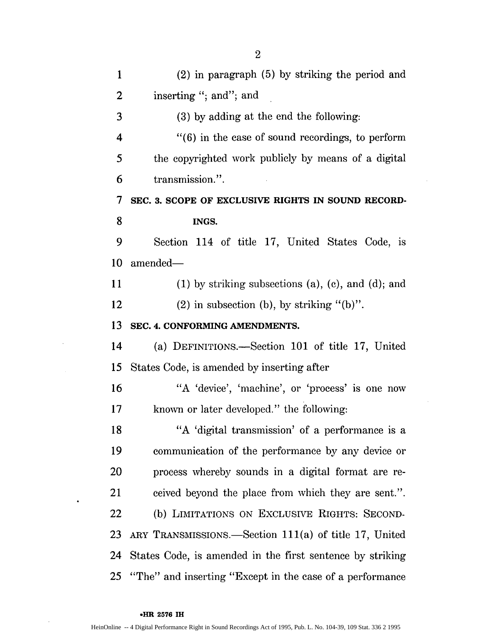| $\mathbf{1}$     | $(2)$ in paragraph $(5)$ by striking the period and           |
|------------------|---------------------------------------------------------------|
| 2                | inserting "; and"; and                                        |
| 3                | (3) by adding at the end the following:                       |
| 4                | $"$ (6) in the case of sound recordings, to perform           |
| 5                | the copyrighted work publicly by means of a digital           |
| 6                | transmission.".                                               |
| $\boldsymbol{7}$ | SEC. 3. SCOPE OF EXCLUSIVE RIGHTS IN SOUND RECORD-            |
| 8                | INGS.                                                         |
| 9                | Section 114 of title 17, United States Code, is               |
| 10               | amended-                                                      |
| 11               | $(1)$ by striking subsections $(a)$ , $(c)$ , and $(d)$ ; and |
| 12               | $(2)$ in subsection (b), by striking "(b)".                   |
| 13               | SEC. 4. CONFORMING AMENDMENTS.                                |
| 14               | (a) DEFINITIONS.—Section 101 of title 17, United              |
| 15               | States Code, is amended by inserting after                    |
| 16               | "A 'device', 'machine', or 'process' is one now               |
| 17               | known or later developed." the following:                     |
| 18               | "A 'digital transmission' of a performance is a               |
| 19               | communication of the performance by any device or             |
| <b>20</b>        | process whereby sounds in a digital format are re-            |
| 21               | ceived beyond the place from which they are sent.".           |
| 22               | (b) LIMITATIONS ON EXCLUSIVE RIGHTS: SECOND-                  |
| 23               | ARY TRANSMISSIONS.—Section $111(a)$ of title 17, United       |
| 24               | States Code, is amended in the first sentence by striking     |
| 25               | "The" and inserting "Except in the case of a performance"     |

 $\sim$   $\sim$ 

 $\sim 10$ 

#### • **HR 2576 IH**

 $\sim$ 

 $\bullet$ 

 $\bar{z}$ 

2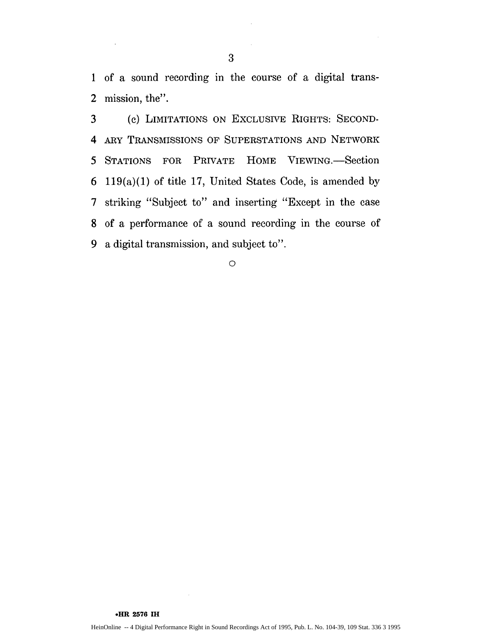1 of a sound recording in the course of a digital trans-2 mission, the".

3 (c) LIMITATIONS ON EXCLUSIYE RIGHTS: SECOND-4 ARY TRANSMISSIONS OF SUPERSTATIONS AND NETWORK 5 STATIONS FOR PRIVATE HOME VIEWING.-Section **6** 119(a)(1) of title 17, United States Code, is amended by 7 striking "Subject to" and inserting "Except in the case 8 of a performance of a sound recording in the course of 9 a digital transmission, and subject to".

**0**

**\*HR 2576 IH**